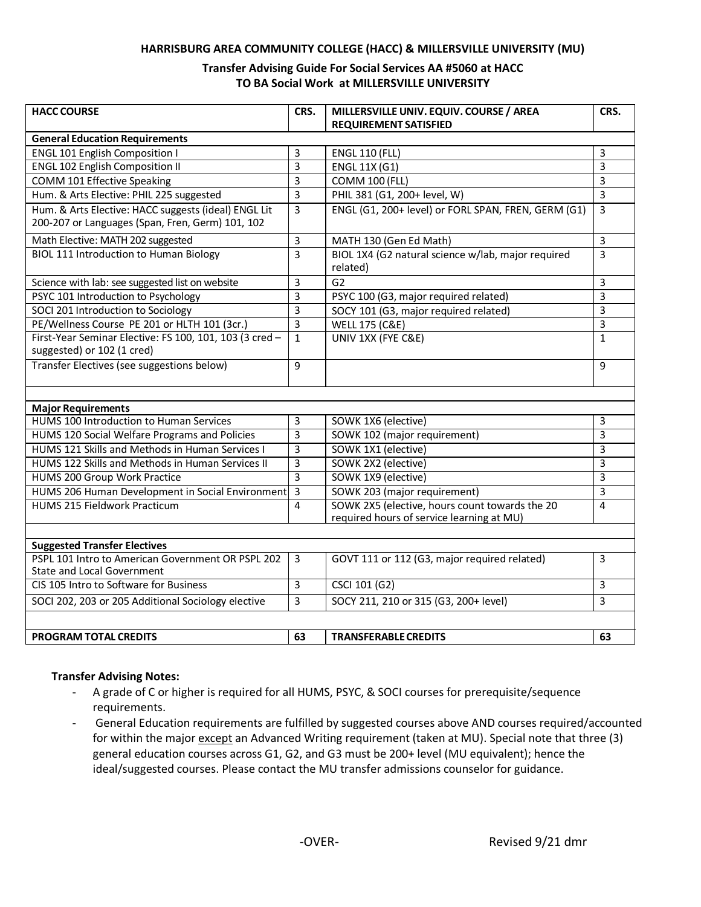#### **HARRISBURG AREA COMMUNITY COLLEGE (HACC) & MILLERSVILLE UNIVERSITY (MU)**

### **Transfer Advising Guide For Social Services AA #5060 at HACC TO BA Social Work at MILLERSVILLE UNIVERSITY**

| <b>HACC COURSE</b>                                                                                       | CRS.           | MILLERSVILLE UNIV. EQUIV. COURSE / AREA<br><b>REQUIREMENT SATISFIED</b>                     | CRS.           |
|----------------------------------------------------------------------------------------------------------|----------------|---------------------------------------------------------------------------------------------|----------------|
| <b>General Education Requirements</b>                                                                    |                |                                                                                             |                |
| <b>ENGL 101 English Composition I</b>                                                                    | 3              | <b>ENGL 110 (FLL)</b>                                                                       | 3              |
| <b>ENGL 102 English Composition II</b>                                                                   | 3              | <b>ENGL 11X (G1)</b>                                                                        | $\overline{3}$ |
| COMM 101 Effective Speaking                                                                              | 3              | <b>COMM 100 (FLL)</b>                                                                       | 3              |
| Hum. & Arts Elective: PHIL 225 suggested                                                                 | 3              | PHIL 381 (G1, 200+ level, W)                                                                | 3              |
| Hum. & Arts Elective: HACC suggests (ideal) ENGL Lit<br>200-207 or Languages (Span, Fren, Germ) 101, 102 | 3              | ENGL (G1, 200+ level) or FORL SPAN, FREN, GERM (G1)                                         | 3              |
| Math Elective: MATH 202 suggested                                                                        | 3              | MATH 130 (Gen Ed Math)                                                                      | 3              |
| <b>BIOL 111 Introduction to Human Biology</b>                                                            | $\overline{3}$ | BIOL 1X4 (G2 natural science w/lab, major required<br>related)                              | $\overline{3}$ |
| Science with lab: see suggested list on website                                                          | 3              | G <sub>2</sub>                                                                              | 3              |
| PSYC 101 Introduction to Psychology                                                                      | 3              | PSYC 100 (G3, major required related)                                                       | 3              |
| SOCI 201 Introduction to Sociology                                                                       | 3              | SOCY 101 (G3, major required related)                                                       | 3              |
| PE/Wellness Course PE 201 or HLTH 101 (3cr.)                                                             | 3              | <b>WELL 175 (C&amp;E)</b>                                                                   | 3              |
| First-Year Seminar Elective: FS 100, 101, 103 (3 cred -<br>suggested) or 102 (1 cred)                    | $\mathbf{1}$   | UNIV 1XX (FYE C&E)                                                                          | $\mathbf{1}$   |
| Transfer Electives (see suggestions below)                                                               | 9              |                                                                                             | 9              |
|                                                                                                          |                |                                                                                             |                |
| <b>Major Requirements</b>                                                                                |                |                                                                                             |                |
| HUMS 100 Introduction to Human Services                                                                  | 3              | SOWK 1X6 (elective)                                                                         | 3              |
| HUMS 120 Social Welfare Programs and Policies                                                            | $\overline{3}$ | SOWK 102 (major requirement)                                                                | 3              |
| HUMS 121 Skills and Methods in Human Services I                                                          | 3              | SOWK 1X1 (elective)                                                                         | 3              |
| HUMS 122 Skills and Methods in Human Services II                                                         | 3              | SOWK 2X2 (elective)                                                                         | 3              |
| HUMS 200 Group Work Practice                                                                             | 3              | SOWK 1X9 (elective)                                                                         | 3              |
| HUMS 206 Human Development in Social Environment                                                         | $\overline{3}$ | SOWK 203 (major requirement)                                                                | $\overline{3}$ |
| <b>HUMS 215 Fieldwork Practicum</b>                                                                      | 4              | SOWK 2X5 (elective, hours count towards the 20<br>required hours of service learning at MU) | $\overline{a}$ |
|                                                                                                          |                |                                                                                             |                |
| <b>Suggested Transfer Electives</b>                                                                      |                |                                                                                             |                |
| PSPL 101 Intro to American Government OR PSPL 202<br><b>State and Local Government</b>                   | 3              | GOVT 111 or 112 (G3, major required related)                                                | 3              |
| CIS 105 Intro to Software for Business                                                                   | 3              | CSCI 101 (G2)                                                                               | 3              |
| SOCI 202, 203 or 205 Additional Sociology elective                                                       | 3              | SOCY 211, 210 or 315 (G3, 200+ level)                                                       | 3              |
|                                                                                                          |                |                                                                                             |                |
| PROGRAM TOTAL CREDITS                                                                                    | 63             | <b>TRANSFERABLE CREDITS</b>                                                                 | 63             |

#### **Transfer Advising Notes:**

- A grade of C or higher is required for all HUMS, PSYC, & SOCI courses for prerequisite/sequence requirements.
- General Education requirements are fulfilled by suggested courses above AND courses required/accounted for within the major except an Advanced Writing requirement (taken at MU). Special note that three (3) general education courses across G1, G2, and G3 must be 200+ level (MU equivalent); hence the ideal/suggested courses. Please contact the MU transfer admissions counselor for guidance.